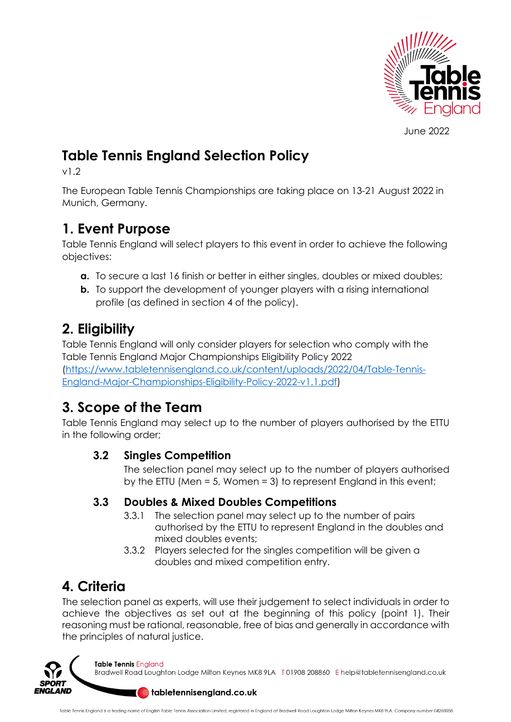

June 2022

## **Table Tennis England Selection Policy**

v1.2

The European Table Tennis Championships are taking place on 13-21 August 2022 in Munich, Germany.

## **1. Event Purpose**

Table Tennis England will select players to this event in order to achieve the following objectives:

- **a.** To secure a last 16 finish or better in either singles, doubles or mixed doubles;
- **b.** To support the development of younger players with a rising international profile (as defined in section 4 of the policy).

## **2. Eligibility**

Table Tennis England will only consider players for selection who comply with the Table Tennis England Major Championships Eligibility Policy 2022 (https://www.tabletennisengland.co.uk/content/uploads/2022/04/Table-Tennis-England-Major-Championships-Eligibility-Policy-2022-v1.1.pdf)

# **3. Scope of the Team**

Table Tennis England may select up to the number of players authorised by the ETTU in the following order;

### **3.2 Singles Competition**

The selection panel may select up to the number of players authorised by the ETTU (Men = 5, Women = 3) to represent England in this event;

### **3.3 Doubles & Mixed Doubles Competitions**

- 3.3.1 The selection panel may select up to the number of pairs authorised by the ETTU to represent England in the doubles and mixed doubles events;
- 3.3.2 Players selected for the singles competition will be given a doubles and mixed competition entry.

# **4. Criteria**

The selection panel as experts, will use their judgement to select individuals in order to achieve the objectives as set out at the beginning of this policy (point 1). Their reasoning must be rational, reasonable, free of bias and generally in accordance with the principles of natural justice.



**Table Tennis England** 

Bradwell Road Loughton Lodge Milton Keynes MK8 9LA T01908 208860 Ehelp@tabletennisengland.co.uk

#### **O** tabletennisengland.co.uk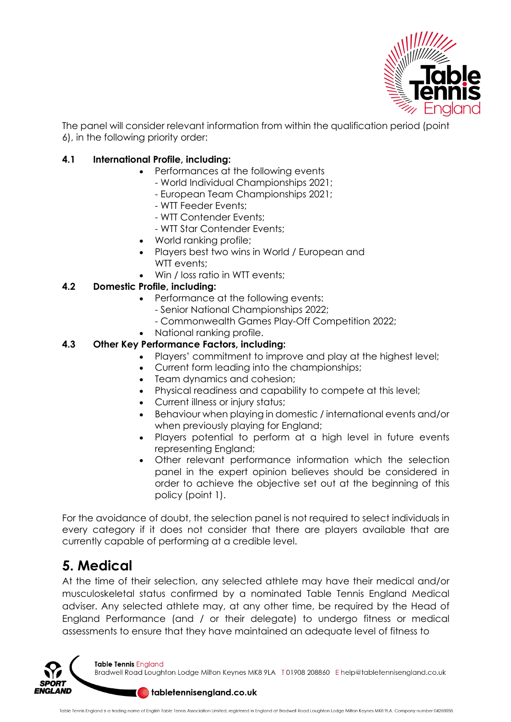

The panel will consider relevant information from within the qualification period (point 6), in the following priority order:

#### **4.1 International Profile, including:**

- Performances at the following events
	- World Individual Championships 2021;
	- European Team Championships 2021;
	- WTT Feeder Events;
	- WTT Contender Events;
	- WTT Star Contender Events;
- World ranking profile;
- Players best two wins in World / European and WTT events:
- Win / loss ratio in WTT events;

#### **4.2 Domestic Profile, including:**

- Performance at the following events:
	- Senior National Championships 2022;
	- Commonwealth Games Play-Off Competition 2022;
- National ranking profile.

#### **4.3 Other Key Performance Factors, including:**

- Players' commitment to improve and play at the highest level;
- Current form leading into the championships;
- Team dynamics and cohesion;
- Physical readiness and capability to compete at this level;
- Current illness or injury status;
- Behaviour when playing in domestic / international events and/or when previously playing for England;
- Players potential to perform at a high level in future events representing England;
- Other relevant performance information which the selection panel in the expert opinion believes should be considered in order to achieve the objective set out at the beginning of this policy (point 1).

For the avoidance of doubt, the selection panel is not required to select individuals in every category if it does not consider that there are players available that are currently capable of performing at a credible level.

### **5. Medical**

At the time of their selection, any selected athlete may have their medical and/or musculoskeletal status confirmed by a nominated Table Tennis England Medical adviser. Any selected athlete may, at any other time, be required by the Head of England Performance (and / or their delegate) to undergo fitness or medical assessments to ensure that they have maintained an adequate level of fitness to



Bradwell Road Loughton Lodge Milton Keynes MK8 9LA T01908 208860 Ehelp@tabletennisengland.co.uk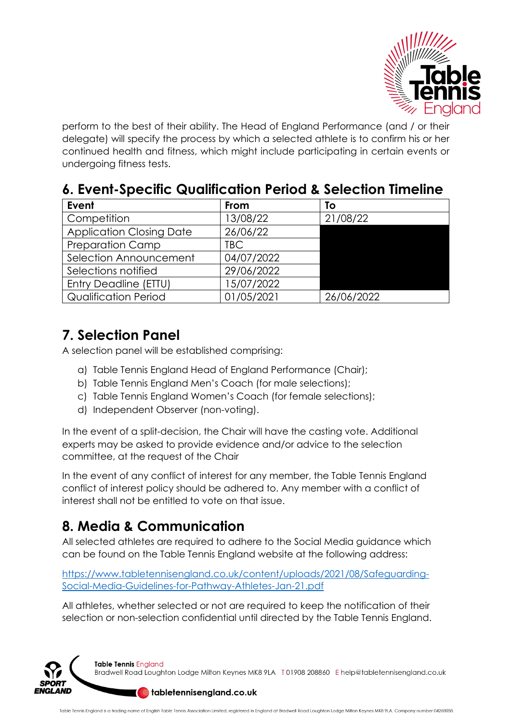

perform to the best of their ability. The Head of England Performance (and / or their delegate) will specify the process by which a selected athlete is to confirm his or her continued health and fitness, which might include participating in certain events or undergoing fitness tests.

## **6. Event-Specific Qualification Period & Selection Timeline**

| Event                           | From       | To         |
|---------------------------------|------------|------------|
| Competition                     | 13/08/22   | 21/08/22   |
| <b>Application Closing Date</b> | 26/06/22   |            |
| <b>Preparation Camp</b>         | TBC.       |            |
| Selection Announcement          | 04/07/2022 |            |
| Selections notified             | 29/06/2022 |            |
| Entry Deadline (ETTU)           | 15/07/2022 |            |
| <b>Qualification Period</b>     | 01/05/2021 | 26/06/2022 |

## **7. Selection Panel**

A selection panel will be established comprising:

- a) Table Tennis England Head of England Performance (Chair);
- b) Table Tennis England Men's Coach (for male selections);
- c) Table Tennis England Women's Coach (for female selections);
- d) Independent Observer (non-voting).

In the event of a split-decision, the Chair will have the casting vote. Additional experts may be asked to provide evidence and/or advice to the selection committee, at the request of the Chair

In the event of any conflict of interest for any member, the Table Tennis England conflict of interest policy should be adhered to. Any member with a conflict of interest shall not be entitled to vote on that issue.

# **8. Media & Communication**

All selected athletes are required to adhere to the Social Media guidance which can be found on the Table Tennis England website at the following address:

https://www.tabletennisengland.co.uk/content/uploads/2021/08/Safeguarding-Social-Media-Guidelines-for-Pathway-Athletes-Jan-21.pdf

All athletes, whether selected or not are required to keep the notification of their selection or non-selection confidential until directed by the Table Tennis England.

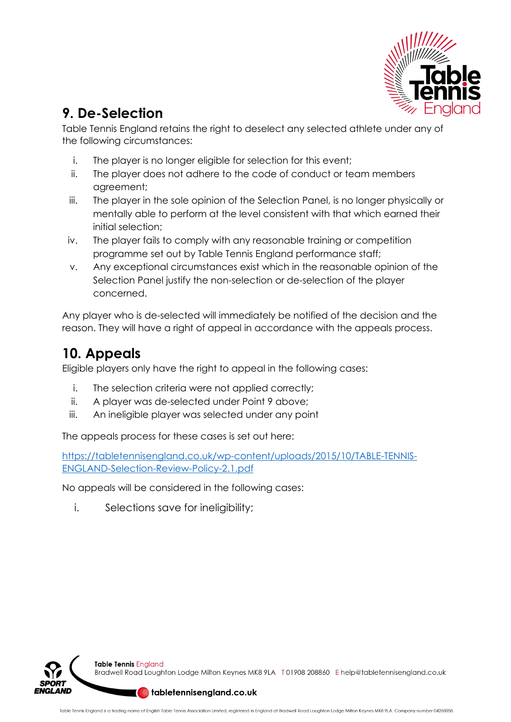

## **9. De-Selection**

Table Tennis England retains the right to deselect any selected athlete under any of the following circumstances:

- i. The player is no longer eligible for selection for this event;
- ii. The player does not adhere to the code of conduct or team members agreement;
- iii. The player in the sole opinion of the Selection Panel, is no longer physically or mentally able to perform at the level consistent with that which earned their initial selection;
- iv. The player fails to comply with any reasonable training or competition programme set out by Table Tennis England performance staff;
- v. Any exceptional circumstances exist which in the reasonable opinion of the Selection Panel justify the non-selection or de-selection of the player concerned.

Any player who is de-selected will immediately be notified of the decision and the reason. They will have a right of appeal in accordance with the appeals process.

## **10. Appeals**

Eligible players only have the right to appeal in the following cases:

- i. The selection criteria were not applied correctly;
- ii. A player was de-selected under Point 9 above;
- iii. An ineligible player was selected under any point

The appeals process for these cases is set out here:

https://tabletennisengland.co.uk/wp-content/uploads/2015/10/TABLE-TENNIS-ENGLAND-Selection-Review-Policy-2.1.pdf

No appeals will be considered in the following cases:

i. Selections save for ineligibility;